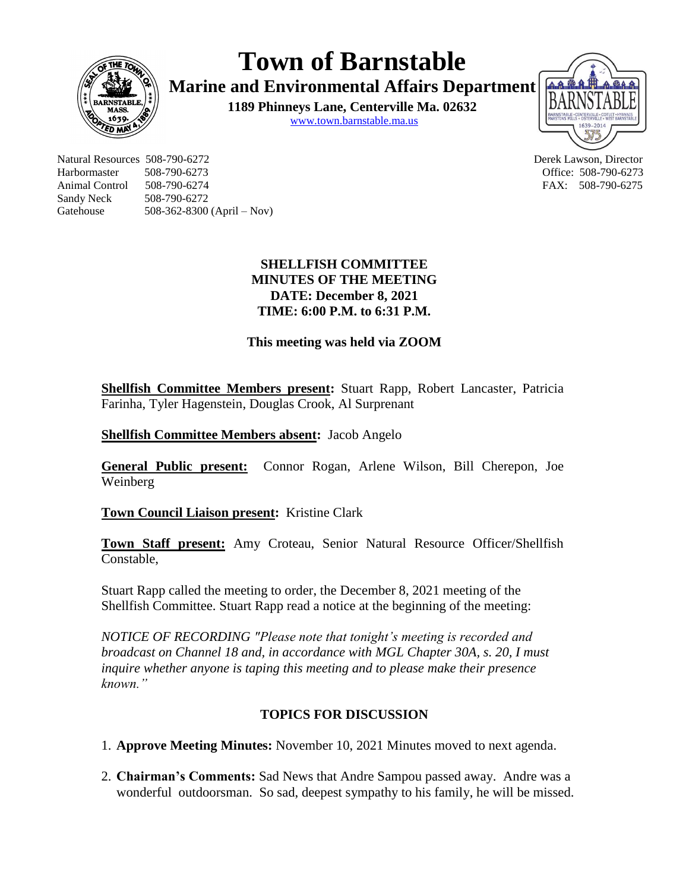

**Town of Barnstable**

**Marine and Environmental Affairs Department**

**1189 Phinneys Lane, Centerville Ma. 02632** [www.town.barnstable.ma.us](http://www.town.barnstable.ma.us/)



Natural Resources 508-790-6272 Derek Lawson, Director Harbormaster 508-790-6273 Office: 508-790-6273 Animal Control 508-790-6274 **FAX: 508-790-6275** Sandy Neck 508-790-6272 Gatehouse 508-362-8300 (April – Nov)

# **SHELLFISH COMMITTEE MINUTES OF THE MEETING DATE: December 8, 2021 TIME: 6:00 P.M. to 6:31 P.M.**

**This meeting was held via ZOOM**

**Shellfish Committee Members present:** Stuart Rapp, Robert Lancaster, Patricia Farinha, Tyler Hagenstein, Douglas Crook, Al Surprenant

**Shellfish Committee Members absent:** Jacob Angelo

**General Public present:** Connor Rogan, Arlene Wilson, Bill Cherepon, Joe Weinberg

**Town Council Liaison present:** Kristine Clark

**Town Staff present:** Amy Croteau, Senior Natural Resource Officer/Shellfish Constable,

Stuart Rapp called the meeting to order, the December 8, 2021 meeting of the Shellfish Committee. Stuart Rapp read a notice at the beginning of the meeting:

*NOTICE OF RECORDING "Please note that tonight's meeting is recorded and broadcast on Channel 18 and, in accordance with MGL Chapter 30A, s. 20, I must inquire whether anyone is taping this meeting and to please make their presence known."*

# **TOPICS FOR DISCUSSION**

1. **Approve Meeting Minutes:** November 10, 2021 Minutes moved to next agenda.

2. **Chairman's Comments:** Sad News that Andre Sampou passed away. Andre was a wonderful outdoorsman. So sad, deepest sympathy to his family, he will be missed.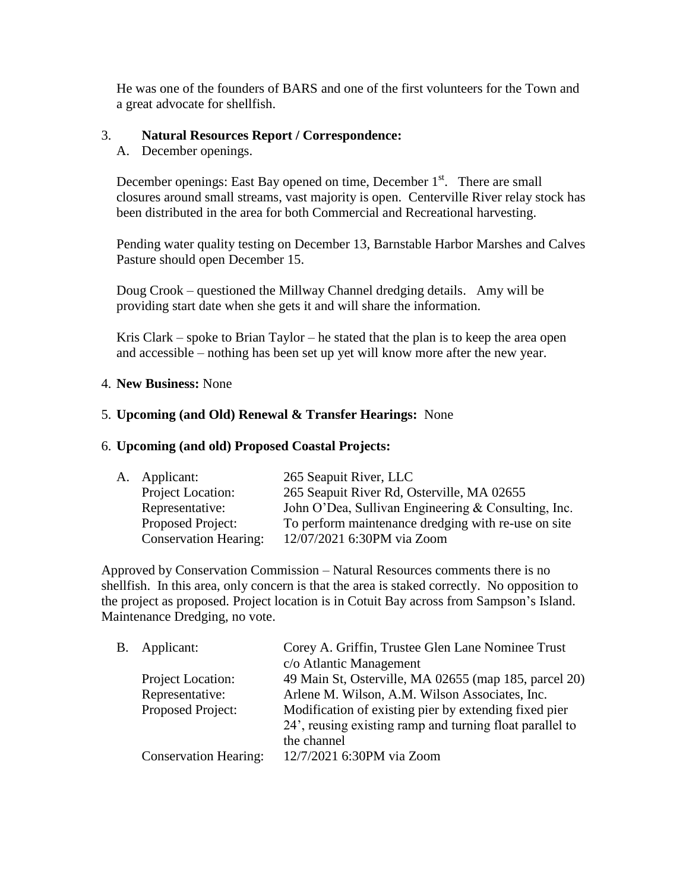He was one of the founders of BARS and one of the first volunteers for the Town and a great advocate for shellfish.

### 3. **Natural Resources Report / Correspondence:**

A. December openings.

December openings: East Bay opened on time, December  $1<sup>st</sup>$ . There are small closures around small streams, vast majority is open. Centerville River relay stock has been distributed in the area for both Commercial and Recreational harvesting.

Pending water quality testing on December 13, Barnstable Harbor Marshes and Calves Pasture should open December 15.

Doug Crook – questioned the Millway Channel dredging details. Amy will be providing start date when she gets it and will share the information.

Kris Clark – spoke to Brian Taylor – he stated that the plan is to keep the area open and accessible – nothing has been set up yet will know more after the new year.

#### 4. **New Business:** None

## 5. **Upcoming (and Old) Renewal & Transfer Hearings:** None

#### 6. **Upcoming (and old) Proposed Coastal Projects:**

| A. Applicant:                | 265 Seapuit River, LLC                              |
|------------------------------|-----------------------------------------------------|
| Project Location:            | 265 Seapuit River Rd, Osterville, MA 02655          |
| Representative:              | John O'Dea, Sullivan Engineering & Consulting, Inc. |
| Proposed Project:            | To perform maintenance dredging with re-use on site |
| <b>Conservation Hearing:</b> | 12/07/2021 6:30PM via Zoom                          |
|                              |                                                     |

Approved by Conservation Commission – Natural Resources comments there is no shellfish. In this area, only concern is that the area is staked correctly. No opposition to the project as proposed. Project location is in Cotuit Bay across from Sampson's Island. Maintenance Dredging, no vote.

| Β. | Applicant:                   | Corey A. Griffin, Trustee Glen Lane Nominee Trust        |
|----|------------------------------|----------------------------------------------------------|
|    |                              | c/o Atlantic Management                                  |
|    | Project Location:            | 49 Main St, Osterville, MA 02655 (map 185, parcel 20)    |
|    | Representative:              | Arlene M. Wilson, A.M. Wilson Associates, Inc.           |
|    | Proposed Project:            | Modification of existing pier by extending fixed pier    |
|    |                              | 24', reusing existing ramp and turning float parallel to |
|    |                              | the channel                                              |
|    | <b>Conservation Hearing:</b> | 12/7/2021 6:30PM via Zoom                                |
|    |                              |                                                          |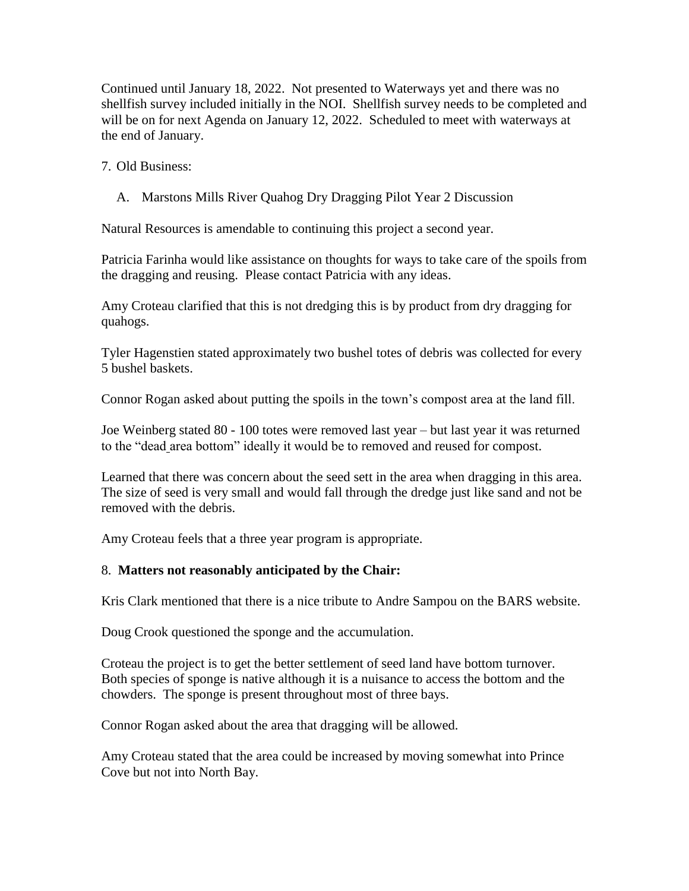Continued until January 18, 2022. Not presented to Waterways yet and there was no shellfish survey included initially in the NOI. Shellfish survey needs to be completed and will be on for next Agenda on January 12, 2022. Scheduled to meet with waterways at the end of January.

7. Old Business:

A. Marstons Mills River Quahog Dry Dragging Pilot Year 2 Discussion

Natural Resources is amendable to continuing this project a second year.

Patricia Farinha would like assistance on thoughts for ways to take care of the spoils from the dragging and reusing. Please contact Patricia with any ideas.

Amy Croteau clarified that this is not dredging this is by product from dry dragging for quahogs.

Tyler Hagenstien stated approximately two bushel totes of debris was collected for every 5 bushel baskets.

Connor Rogan asked about putting the spoils in the town's compost area at the land fill.

Joe Weinberg stated 80 - 100 totes were removed last year – but last year it was returned to the "dead area bottom" ideally it would be to removed and reused for compost.

Learned that there was concern about the seed sett in the area when dragging in this area. The size of seed is very small and would fall through the dredge just like sand and not be removed with the debris.

Amy Croteau feels that a three year program is appropriate.

# 8. **Matters not reasonably anticipated by the Chair:**

Kris Clark mentioned that there is a nice tribute to Andre Sampou on the BARS website.

Doug Crook questioned the sponge and the accumulation.

Croteau the project is to get the better settlement of seed land have bottom turnover. Both species of sponge is native although it is a nuisance to access the bottom and the chowders. The sponge is present throughout most of three bays.

Connor Rogan asked about the area that dragging will be allowed.

Amy Croteau stated that the area could be increased by moving somewhat into Prince Cove but not into North Bay.